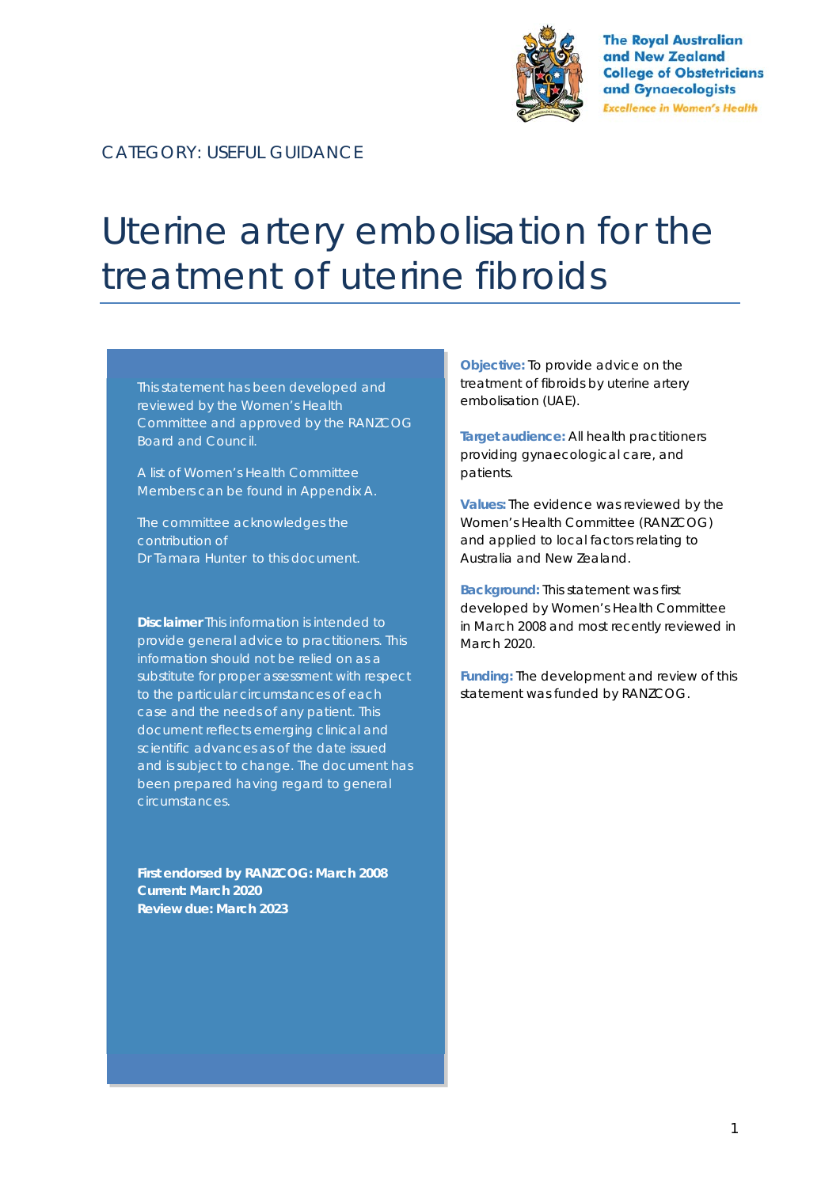

**The Royal Australian** and New Zealand **College of Obstetricians** and Gynaecologists **Excellence in Women's Health** 

CATEGORY: USEFUL GUIDANCE

# Uterine artery embolisation for the treatment of uterine fibroids

This statement has been developed and reviewed by the Women's Health Committee and approved by the RANZCOG **Board and Council.** 

A list of Women's Health Committee Members can be found in Appendix A.

The committee acknowledges the contribution of Dr Tamara Hunter to this document.

**Disclaimer** This information is intended to provide general advice to practitioners. This information should not be relied on as a substitute for proper assessment with respect to the particular circumstances of each case and the needs of any patient. This document reflects emerging clinical and scientific advances as of the date issued and is subject to change. The document has been prepared having regard to general circumstances.

**First endorsed by RANZCOG: March 2008 Current: March 2020 Review due: March 2023** 

**Objective:** To provide advice on the treatment of fibroids by uterine artery embolisation (UAE).

**Target audience:** All health practitioners providing gynaecological care, and patients.

**Values:** The evidence was reviewed by the Women's Health Committee (RANZCOG) and applied to local factors relating to Australia and New Zealand.

**Background:** This statement was first developed by Women's Health Committee in March 2008 and most recently reviewed in March 2020.

**Funding:** The development and review of this statement was funded by RANZCOG.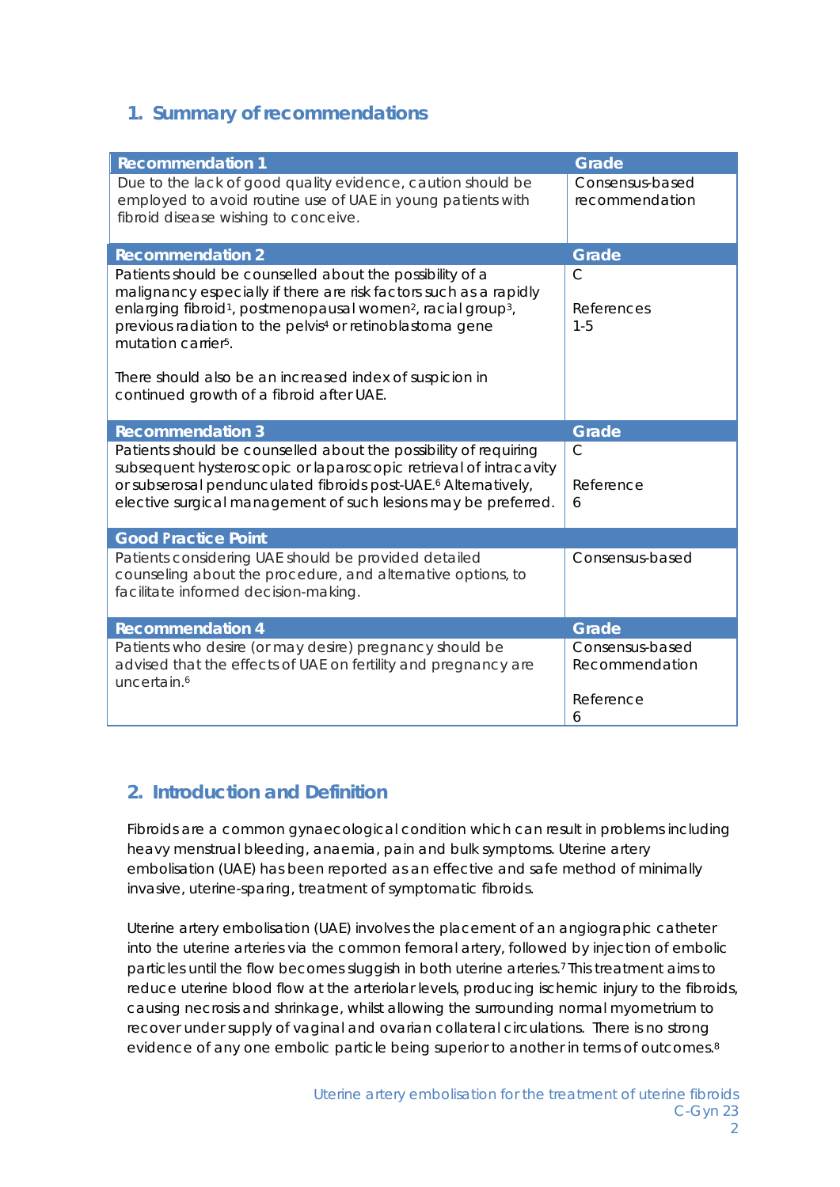# **1. Summary of recommendations**

| <b>Recommendation 1</b>                                                                                                                                                                                                                                                                                                                      | Grade                                               |
|----------------------------------------------------------------------------------------------------------------------------------------------------------------------------------------------------------------------------------------------------------------------------------------------------------------------------------------------|-----------------------------------------------------|
| Due to the lack of good quality evidence, caution should be<br>employed to avoid routine use of UAE in young patients with<br>fibroid disease wishing to conceive.                                                                                                                                                                           | Consensus-based<br>recommendation                   |
| <b>Recommendation 2</b>                                                                                                                                                                                                                                                                                                                      | Grade                                               |
| Patients should be counselled about the possibility of a<br>malignancy especially if there are risk factors such as a rapidly<br>enlarging fibroid <sup>1</sup> , postmenopausal women <sup>2</sup> , racial group <sup>3</sup> ,<br>previous radiation to the pelvis <sup>4</sup> or retinoblastoma gene<br>mutation carrier <sup>5</sup> . | $\mathsf{C}$<br>References<br>$1 - 5$               |
| There should also be an increased index of suspicion in<br>continued growth of a fibroid after UAE.                                                                                                                                                                                                                                          |                                                     |
| <b>Recommendation 3</b>                                                                                                                                                                                                                                                                                                                      | Grade                                               |
| Patients should be counselled about the possibility of requiring<br>subsequent hysteroscopic or laparoscopic retrieval of intracavity<br>or subserosal pendunculated fibroids post-UAE. <sup>6</sup> Alternatively,<br>elective surgical management of such lesions may be preferred.                                                        | $\mathsf{C}$<br>Reference<br>6                      |
| <b>Good Practice Point</b>                                                                                                                                                                                                                                                                                                                   |                                                     |
| Patients considering UAE should be provided detailed<br>counseling about the procedure, and alternative options, to<br>facilitate informed decision-making.                                                                                                                                                                                  | Consensus-based                                     |
| <b>Recommendation 4</b>                                                                                                                                                                                                                                                                                                                      | Grade                                               |
| Patients who desire (or may desire) pregnancy should be<br>advised that the effects of UAE on fertility and pregnancy are<br>uncertain. <sup>6</sup>                                                                                                                                                                                         | Consensus-based<br>Recommendation<br>Reference<br>6 |

# **2. Introduction and Definition**

Fibroids are a common gynaecological condition which can result in problems including heavy menstrual bleeding, anaemia, pain and bulk symptoms. Uterine artery embolisation (UAE) has been reported as an effective and safe method of minimally invasive, uterine-sparing, treatment of symptomatic fibroids.

Uterine artery embolisation (UAE) involves the placement of an angiographic catheter into the uterine arteries via the common femoral artery, followed by injection of embolic particles until the flow becomes sluggish in both uterine arteries.7 This treatment aims to reduce uterine blood flow at the arteriolar levels, producing ischemic injury to the fibroids, causing necrosis and shrinkage, whilst allowing the surrounding normal myometrium to recover under supply of vaginal and ovarian collateral circulations. There is no strong evidence of any one embolic particle being superior to another in terms of outcomes.8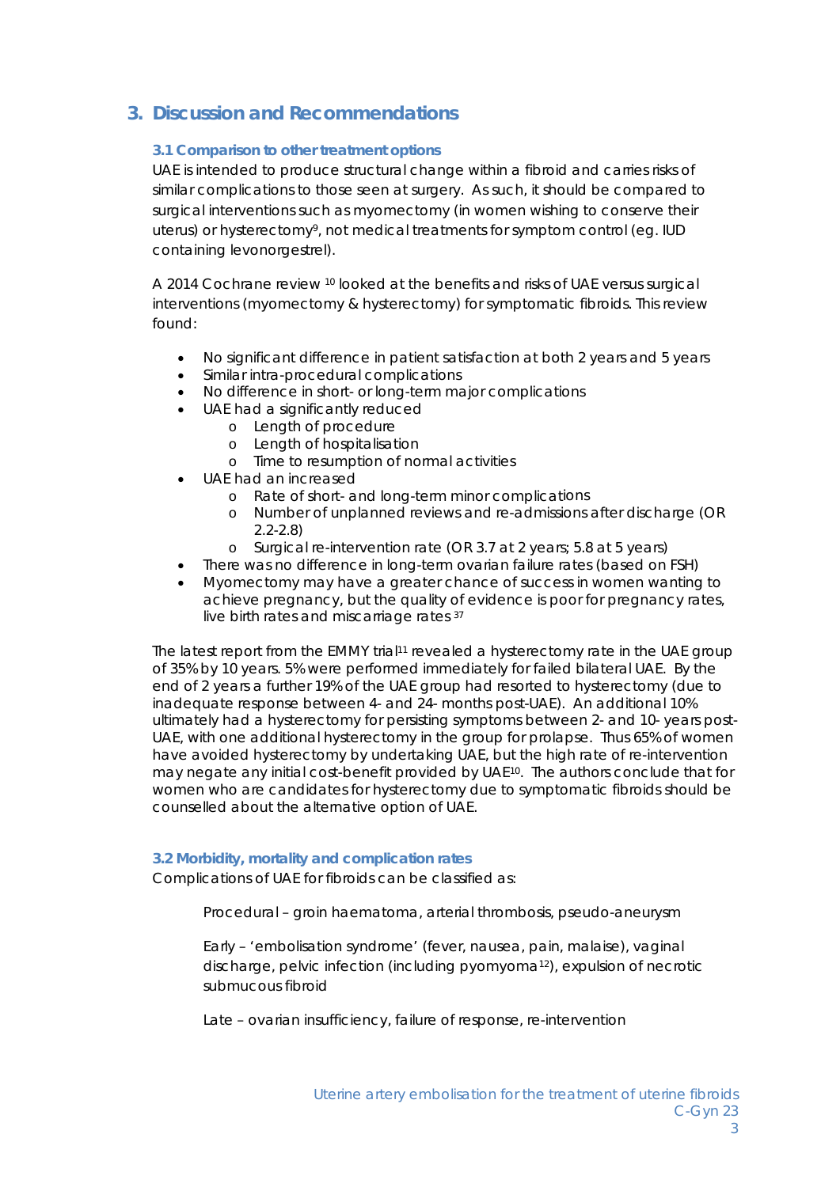# **3. Discussion and Recommendations**

## **3.1 Comparison to other treatment options**

UAE is intended to produce structural change within a fibroid and carries risks of similar complications to those seen at surgery. As such, it should be compared to surgical interventions such as myomectomy (in women wishing to conserve their uterus) or hysterectomy9, not medical treatments for symptom control (eg. IUD containing levonorgestrel).

A 2014 Cochrane review 10 looked at the benefits and risks of UAE versus surgical interventions (myomectomy & hysterectomy) for symptomatic fibroids. This review found:

- No significant difference in patient satisfaction at both 2 years and 5 years
- Similar intra-procedural complications
- No difference in short- or long-term major complications
- UAE had a significantly reduced
	- o Length of procedure
	- o Length of hospitalisation
	- o Time to resumption of normal activities
- UAE had an increased
	- o Rate of short- and long-term minor complications
	- o Number of unplanned reviews and re-admissions after discharge (OR 2.2-2.8)
	- o Surgical re-intervention rate (OR 3.7 at 2 years; 5.8 at 5 years)
- There was no difference in long-term ovarian failure rates (based on FSH)
- Myomectomy may have a greater chance of success in women wanting to achieve pregnancy, but the quality of evidence is poor for pregnancy rates, live birth rates and miscarriage rates 37

The latest report from the EMMY trial<sup>11</sup> revealed a hysterectomy rate in the UAE group of 35% by 10 years. 5% were performed immediately for failed bilateral UAE. By the end of 2 years a further 19% of the UAE group had resorted to hysterectomy (due to inadequate response between 4- and 24- months post-UAE). An additional 10% ultimately had a hysterectomy for persisting symptoms between 2- and 10- years post-UAE, with one additional hysterectomy in the group for prolapse. Thus 65% of women have avoided hysterectomy by undertaking UAE, but the high rate of re-intervention may negate any initial cost-benefit provided by UAE10. The authors conclude that for women who are candidates for hysterectomy due to symptomatic fibroids should be counselled about the alternative option of UAE.

## **3.2 Morbidity, mortality and complication rates**

Complications of UAE for fibroids can be classified as:

Procedural – groin haematoma, arterial thrombosis, pseudo-aneurysm

Early – 'embolisation syndrome' (fever, nausea, pain, malaise), vaginal discharge, pelvic infection (including pyomyoma12), expulsion of necrotic submucous fibroid

Late – ovarian insufficiency, failure of response, re-intervention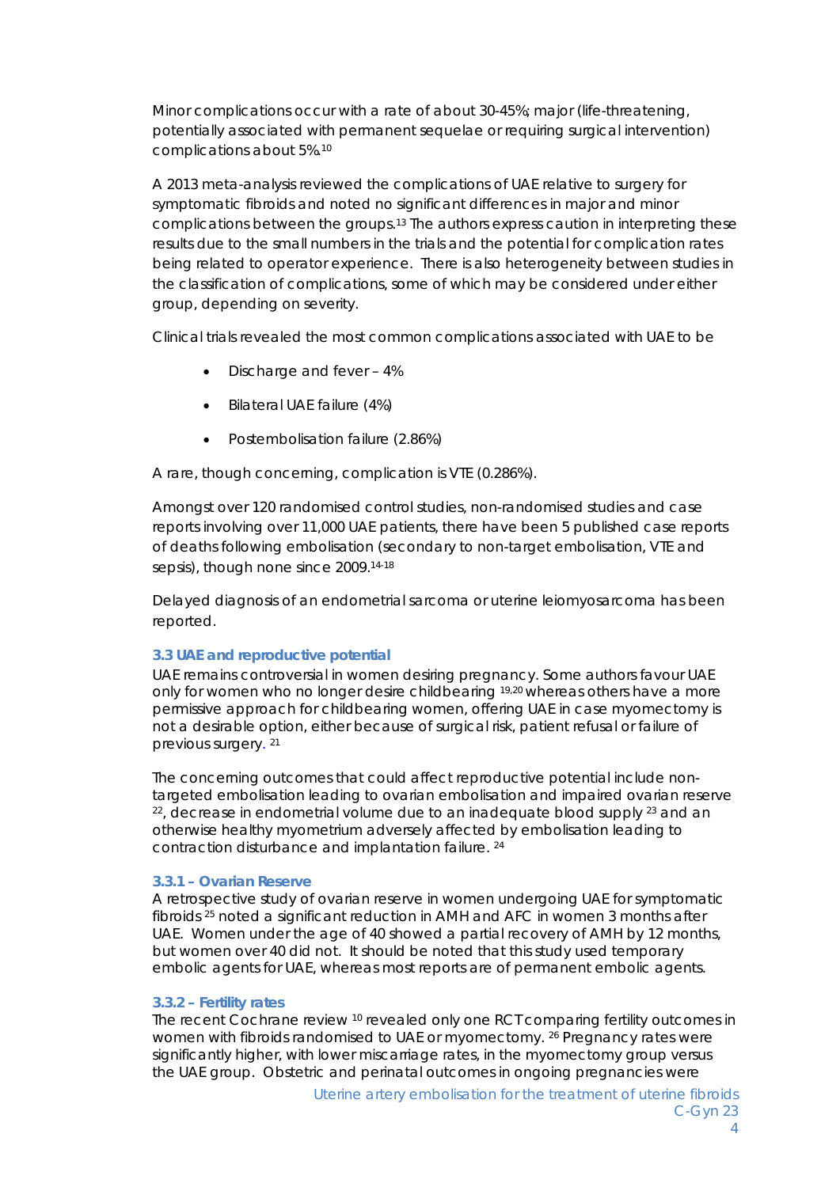Minor complications occur with a rate of about 30-45%; major (life-threatening, potentially associated with permanent sequelae or requiring surgical intervention) complications about 5%.10

A 2013 meta-analysis reviewed the complications of UAE relative to surgery for symptomatic fibroids and noted no significant differences in major and minor complications between the groups.13 The authors express caution in interpreting these results due to the small numbers in the trials and the potential for complication rates being related to operator experience. There is also heterogeneity between studies in the classification of complications, some of which may be considered under either group, depending on severity.

Clinical trials revealed the most common complications associated with UAE to be

- Discharge and fever 4%
- Bilateral UAE failure (4%)
- Postembolisation failure (2.86%)

A rare, though concerning, complication is VTE (0.286%).

Amongst over 120 randomised control studies, non-randomised studies and case reports involving over 11,000 UAE patients, there have been 5 published case reports of deaths following embolisation (secondary to non-target embolisation, VTE and sepsis), though none since 2009.14-18

Delayed diagnosis of an endometrial sarcoma or uterine leiomyosarcoma has been reported.

## **3.3 UAE and reproductive potential**

UAE remains controversial in women desiring pregnancy. Some authors favour UAE only for women who no longer desire childbearing 19,20 whereas others have a more permissive approach for childbearing women, offering UAE in case myomectomy is not a desirable option, either because of surgical risk, patient refusal or failure of previous surgery. 21

The concerning outcomes that could affect reproductive potential include nontargeted embolisation leading to ovarian embolisation and impaired ovarian reserve  $22$ , decrease in endometrial volume due to an inadequate blood supply  $23$  and an otherwise healthy myometrium adversely affected by embolisation leading to contraction disturbance and implantation failure. 24

## *3.3.1 – Ovarian Reserve*

A retrospective study of ovarian reserve in women undergoing UAE for symptomatic fibroids 25 noted a significant reduction in AMH and AFC in women 3 months after UAE. Women under the age of 40 showed a partial recovery of AMH by 12 months, but women over 40 did not. It should be noted that this study used temporary embolic agents for UAE, whereas most reports are of permanent embolic agents.

#### *3.3.2 – Fertility rates*

The recent Cochrane review <sup>10</sup> revealed only one RCT comparing fertility outcomes in women with fibroids randomised to UAE or myomectomy. 26 Pregnancy rates were significantly higher, with lower miscarriage rates, in the myomectomy group versus the UAE group. Obstetric and perinatal outcomes in ongoing pregnancies were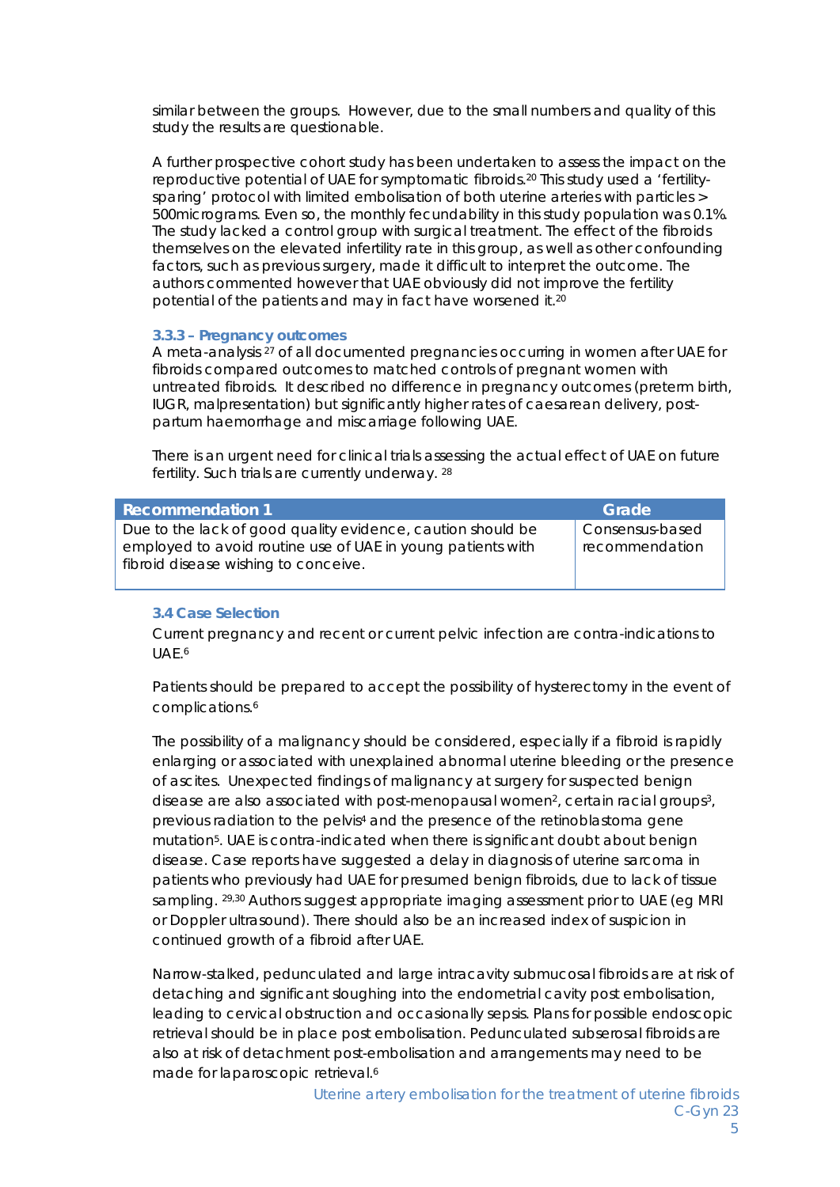similar between the groups. However, due to the small numbers and quality of this study the results are questionable.

A further prospective cohort study has been undertaken to assess the impact on the reproductive potential of UAE for symptomatic fibroids.20 This study used a 'fertilitysparing' protocol with limited embolisation of both uterine arteries with particles > 500micrograms. Even so, the monthly fecundability in this study population was 0.1%. The study lacked a control group with surgical treatment. The effect of the fibroids themselves on the elevated infertility rate in this group, as well as other confounding factors, such as previous surgery, made it difficult to interpret the outcome. The authors commented however that UAE obviously did not improve the fertility potential of the patients and may in fact have worsened it.20

#### *3.3.3 – Pregnancy outcomes*

A meta-analysis 27 of all documented pregnancies occurring in women after UAE for fibroids compared outcomes to matched controls of pregnant women with untreated fibroids. It described no difference in pregnancy outcomes (preterm birth, IUGR, malpresentation) but significantly higher rates of caesarean delivery, postpartum haemorrhage and miscarriage following UAE.

There is an urgent need for clinical trials assessing the actual effect of UAE on future fertility. Such trials are currently underway. 28

| <b>Recommendation 1</b>                                                                                                                                            | Grade'                            |
|--------------------------------------------------------------------------------------------------------------------------------------------------------------------|-----------------------------------|
| Due to the lack of good quality evidence, caution should be<br>employed to avoid routine use of UAE in young patients with<br>fibroid disease wishing to conceive. | Consensus-based<br>recommendation |

#### **3.4 Case Selection**

Current pregnancy and recent or current pelvic infection are contra-indications to UAE.6

Patients should be prepared to accept the possibility of hysterectomy in the event of complications.6

The possibility of a malignancy should be considered, especially if a fibroid is rapidly enlarging or associated with unexplained abnormal uterine bleeding or the presence of ascites. Unexpected findings of malignancy at surgery for suspected benign disease are also associated with post-menopausal women<sup>2</sup>, certain racial groups<sup>3</sup>, previous radiation to the pelvis4 and the presence of the retinoblastoma gene mutation5. UAE is contra-indicated when there is significant doubt about benign disease. Case reports have suggested a delay in diagnosis of uterine sarcoma in patients who previously had UAE for presumed benign fibroids, due to lack of tissue sampling. 29,30 Authors suggest appropriate imaging assessment prior to UAE (eg MRI or Doppler ultrasound). There should also be an increased index of suspicion in continued growth of a fibroid after UAE.

Narrow-stalked, pedunculated and large intracavity submucosal fibroids are at risk of detaching and significant sloughing into the endometrial cavity post embolisation, leading to cervical obstruction and occasionally sepsis. Plans for possible endoscopic retrieval should be in place post embolisation. Pedunculated subserosal fibroids are also at risk of detachment post-embolisation and arrangements may need to be made for laparoscopic retrieval.<sup>6</sup>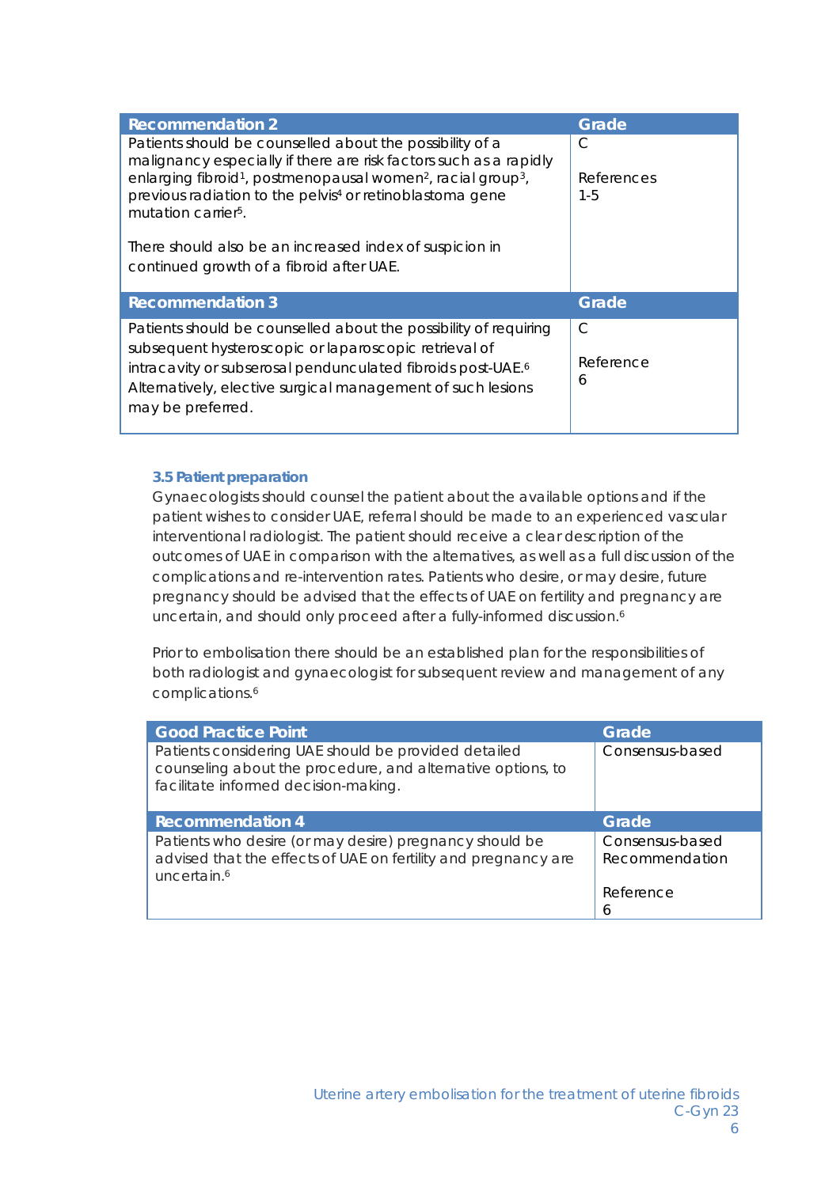| <b>Recommendation 2</b>                                                                                                                                                                                                                                                                                                                      | Grade                      |
|----------------------------------------------------------------------------------------------------------------------------------------------------------------------------------------------------------------------------------------------------------------------------------------------------------------------------------------------|----------------------------|
| Patients should be counselled about the possibility of a<br>malignancy especially if there are risk factors such as a rapidly<br>enlarging fibroid <sup>1</sup> , postmenopausal women <sup>2</sup> , racial group <sup>3</sup> ,<br>previous radiation to the pelvis <sup>4</sup> or retinoblastoma gene<br>mutation carrier <sup>5</sup> . | C<br>References<br>$1 - 5$ |
| There should also be an increased index of suspicion in<br>continued growth of a fibroid after UAE.                                                                                                                                                                                                                                          |                            |
| <b>Recommendation 3</b>                                                                                                                                                                                                                                                                                                                      | Grade                      |
| Patients should be counselled about the possibility of requiring<br>subsequent hysteroscopic or laparoscopic retrieval of<br>intracavity or subserosal pendunculated fibroids post-UAE. <sup>6</sup><br>Alternatively, elective surgical management of such lesions<br>may be preferred.                                                     | C<br>Reference<br>6        |

#### **3.5 Patient preparation**

Gynaecologists should counsel the patient about the available options and if the patient wishes to consider UAE, referral should be made to an experienced vascular interventional radiologist. The patient should receive a clear description of the outcomes of UAE in comparison with the alternatives, as well as a full discussion of the complications and re-intervention rates. Patients who desire, or may desire, future pregnancy should be advised that the effects of UAE on fertility and pregnancy are uncertain, and should only proceed after a fully-informed discussion.<sup>6</sup>

Prior to embolisation there should be an established plan for the responsibilities of both radiologist and gynaecologist for subsequent review and management of any complications.6

| <b>Good Practice Point</b>                                                                                                                                  | Grade                             |
|-------------------------------------------------------------------------------------------------------------------------------------------------------------|-----------------------------------|
| Patients considering UAE should be provided detailed<br>counseling about the procedure, and alternative options, to<br>facilitate informed decision-making. | Consensus-based                   |
| <b>Recommendation 4</b>                                                                                                                                     | Grade                             |
| Patients who desire (or may desire) pregnancy should be<br>advised that the effects of UAE on fertility and pregnancy are<br>uncertain. <sup>6</sup>        | Consensus-based<br>Recommendation |
|                                                                                                                                                             | Reference<br><sub>6</sub>         |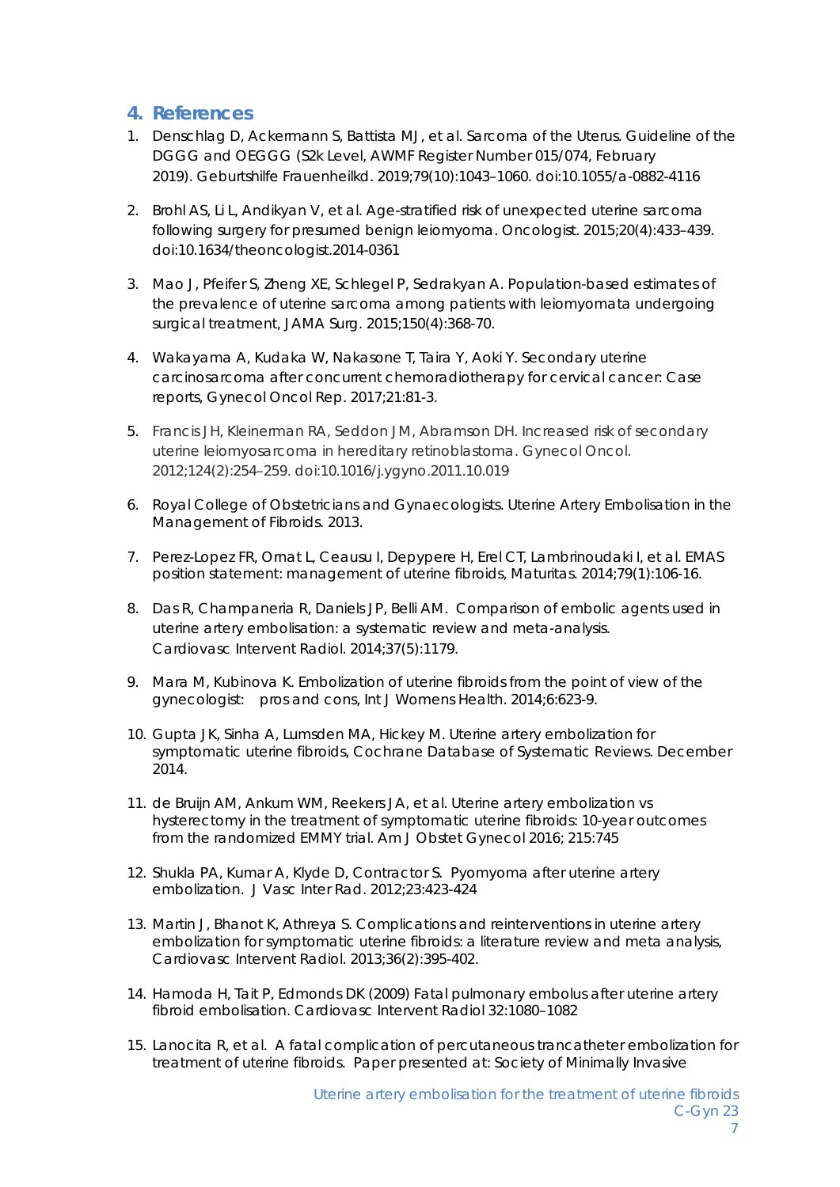## **4. References**

- 1. Denschlag D, Ackermann S, Battista MJ, et al. Sarcoma of the Uterus. Guideline of the DGGG and OEGGG (S2k Level, AWMF Register Number 015/074, February 2019). Geburtshilfe Frauenheilkd. 2019;79(10):1043–1060. doi:10.1055/a-0882-4116
- 2. Brohl AS, Li L, Andikyan V, et al. Age-stratified risk of unexpected uterine sarcoma following surgery for presumed benign leiomyoma. *Oncologist*. 2015;20(4):433–439. doi:10.1634/theoncologist.2014-0361
- 3. Mao J, Pfeifer S, Zheng XE, Schlegel P, Sedrakyan A. Population-based estimates of the prevalence of uterine sarcoma among patients with leiomyomata undergoing surgical treatment, JAMA Surg. 2015;150(4):368-70.
- 4. Wakayama A, Kudaka W, Nakasone T, Taira Y, Aoki Y. Secondary uterine carcinosarcoma after concurrent chemoradiotherapy for cervical cancer: Case reports, Gynecol Oncol Rep. 2017;21:81-3.
- 5. Francis JH, Kleinerman RA, Seddon JM, Abramson DH. Increased risk of secondary uterine leiomyosarcoma in hereditary retinoblastoma. *Gynecol Oncol*. 2012;124(2):254–259. doi:10.1016/j.ygyno.2011.10.019
- 6. Royal College of Obstetricians and Gynaecologists. Uterine Artery Embolisation in the Management of Fibroids. 2013.
- 7. Perez-Lopez FR, Ornat L, Ceausu I, Depypere H, Erel CT, Lambrinoudaki I, et al. EMAS position statement: management of uterine fibroids, Maturitas. 2014;79(1):106-16.
- 8. Das R, Champaneria R, Daniels JP, Belli AM. Comparison of embolic agents used in uterine artery embolisation: a systematic review and meta-analysis. Cardiovasc Intervent Radiol. 2014;37(5):1179.
- 9. Mara M, Kubinova K. Embolization of uterine fibroids from the point of view of the gynecologist: pros and cons, Int J Womens Health. 2014;6:623-9.
- 10. Gupta JK, Sinha A, Lumsden MA, Hickey M. Uterine artery embolization for symptomatic uterine fibroids, Cochrane Database of Systematic Reviews. December 2014.
- 11. de Bruijn AM, Ankum WM, Reekers JA, et al. Uterine artery embolization vs hysterectomy in the treatment of symptomatic uterine fibroids: 10-year outcomes from the randomized EMMY trial. Am J Obstet Gynecol 2016; 215:745
- 12. Shukla PA, Kumar A, Klyde D, Contractor S. Pyomyoma after uterine artery embolization. J Vasc Inter Rad. 2012;23:423-424
- 13. Martin J, Bhanot K, Athreya S. Complications and reinterventions in uterine artery embolization for symptomatic uterine fibroids: a literature review and meta analysis, Cardiovasc Intervent Radiol. 2013;36(2):395-402.
- 14. Hamoda H, Tait P, Edmonds DK (2009) Fatal pulmonary embolus after uterine artery fibroid embolisation. Cardiovasc Intervent Radiol 32:1080–1082
- 15. Lanocita R, et al. A fatal complication of percutaneous trancatheter embolization for treatment of uterine fibroids. Paper presented at: Society of Minimally Invasive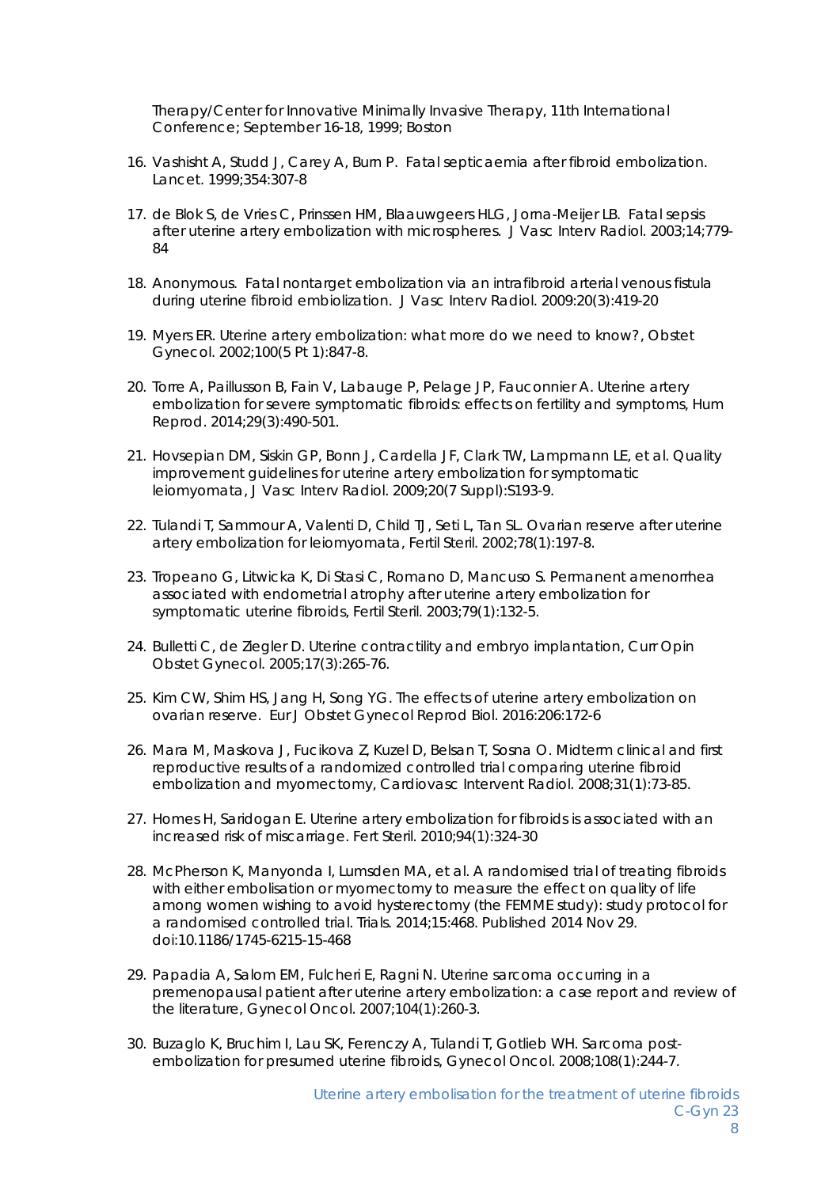Therapy/Center for Innovative Minimally Invasive Therapy, 11th International Conference; September 16-18, 1999; Boston

- 16. Vashisht A, Studd J, Carey A, Burn P. Fatal septicaemia after fibroid embolization. Lancet. 1999;354:307-8
- 17. de Blok S, de Vries C, Prinssen HM, Blaauwgeers HLG, Jorna-Meijer LB. Fatal sepsis after uterine artery embolization with microspheres. J Vasc Interv Radiol. 2003;14;779-  $84$
- 18. Anonymous. Fatal nontarget embolization via an intrafibroid arterial venous fistula during uterine fibroid embiolization. J Vasc Interv Radiol. 2009:20(3):419-20
- 19. Myers ER. Uterine artery embolization: what more do we need to know?, Obstet Gynecol. 2002;100(5 Pt 1):847-8.
- 20. Torre A, Paillusson B, Fain V, Labauge P, Pelage JP, Fauconnier A. Uterine artery embolization for severe symptomatic fibroids: effects on fertility and symptoms, Hum Reprod. 2014;29(3):490-501.
- 21. Hovsepian DM, Siskin GP, Bonn J, Cardella JF, Clark TW, Lampmann LE, et al. Quality improvement guidelines for uterine artery embolization for symptomatic leiomyomata, J Vasc Interv Radiol. 2009;20(7 Suppl):S193-9.
- 22. Tulandi T, Sammour A, Valenti D, Child TJ, Seti L, Tan SL. Ovarian reserve after uterine artery embolization for leiomyomata, Fertil Steril. 2002;78(1):197-8.
- 23. Tropeano G, Litwicka K, Di Stasi C, Romano D, Mancuso S. Permanent amenorrhea associated with endometrial atrophy after uterine artery embolization for symptomatic uterine fibroids, Fertil Steril. 2003;79(1):132-5.
- 24. Bulletti C, de Ziegler D. Uterine contractility and embryo implantation, Curr Opin Obstet Gynecol. 2005;17(3):265-76.
- 25. Kim CW, Shim HS, Jang H, Song YG. The effects of uterine artery embolization on ovarian reserve. Eur J Obstet Gynecol Reprod Biol. 2016:206:172-6
- 26. Mara M, Maskova J, Fucikova Z, Kuzel D, Belsan T, Sosna O. Midterm clinical and first reproductive results of a randomized controlled trial comparing uterine fibroid embolization and myomectomy, Cardiovasc Intervent Radiol. 2008;31(1):73-85.
- 27. Homes H, Saridogan E. Uterine artery embolization for fibroids is associated with an increased risk of miscarriage. Fert Steril. 2010;94(1):324-30
- 28. McPherson K, Manyonda I, Lumsden MA, et al. A randomised trial of treating fibroids with either embolisation or myomectomy to measure the effect on quality of life among women wishing to avoid hysterectomy (the FEMME study): study protocol for a randomised controlled trial. Trials. 2014;15:468. Published 2014 Nov 29. doi:10.1186/1745-6215-15-468
- 29. Papadia A, Salom EM, Fulcheri E, Ragni N. Uterine sarcoma occurring in a premenopausal patient after uterine artery embolization: a case report and review of the literature, Gynecol Oncol. 2007;104(1):260-3.
- 30. Buzaglo K, Bruchim I, Lau SK, Ferenczy A, Tulandi T, Gotlieb WH. Sarcoma postembolization for presumed uterine fibroids, Gynecol Oncol. 2008;108(1):244-7.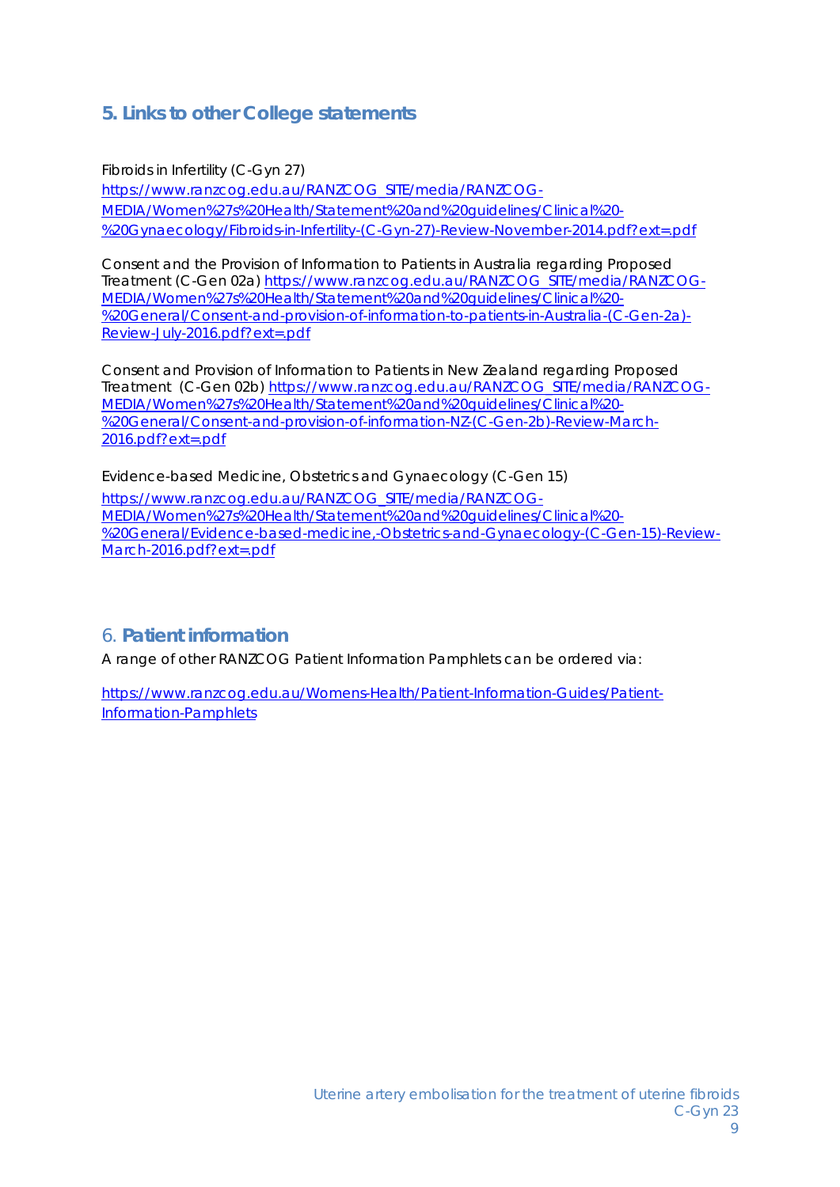# **5. Links to other College statements**

Fibroids in Infertility (C-Gyn 27) https://www.ranzcog.edu.au/RANZCOG\_SITE/media/RANZCOG-MEDIA/Women%27s%20Health/Statement%20and%20guidelines/Clinical%20- %20Gynaecology/Fibroids-in-Infertility-(C-Gyn-27)-Review-November-2014.pdf?ext=.pdf

Consent and the Provision of Information to Patients in Australia regarding Proposed Treatment (C-Gen 02a) https://www.ranzcog.edu.au/RANZCOG\_SITE/media/RANZCOG-MEDIA/Women%27s%20Health/Statement%20and%20guidelines/Clinical%20- %20General/Consent-and-provision-of-information-to-patients-in-Australia-(C-Gen-2a)- Review-July-2016.pdf?ext=.pdf

Consent and Provision of Information to Patients in New Zealand regarding Proposed Treatment (C-Gen 02b) https://www.ranzcog.edu.au/RANZCOG\_SITE/media/RANZCOG-MEDIA/Women%27s%20Health/Statement%20and%20guidelines/Clinical%20- %20General/Consent-and-provision-of-information-NZ-(C-Gen-2b)-Review-March-2016.pdf?ext=.pdf

Evidence-based Medicine, Obstetrics and Gynaecology (C-Gen 15)

https://www.ranzcog.edu.au/RANZCOG\_SITE/media/RANZCOG-MEDIA/Women%27s%20Health/Statement%20and%20guidelines/Clinical%20- %20General/Evidence-based-medicine,-Obstetrics-and-Gynaecology-(C-Gen-15)-Review-March-2016.pdf?ext=.pdf

# 6. **Patient information**

A range of other RANZCOG Patient Information Pamphlets can be ordered via:

https://www.ranzcog.edu.au/Womens-Health/Patient-Information-Guides/Patient-Information-Pamphlets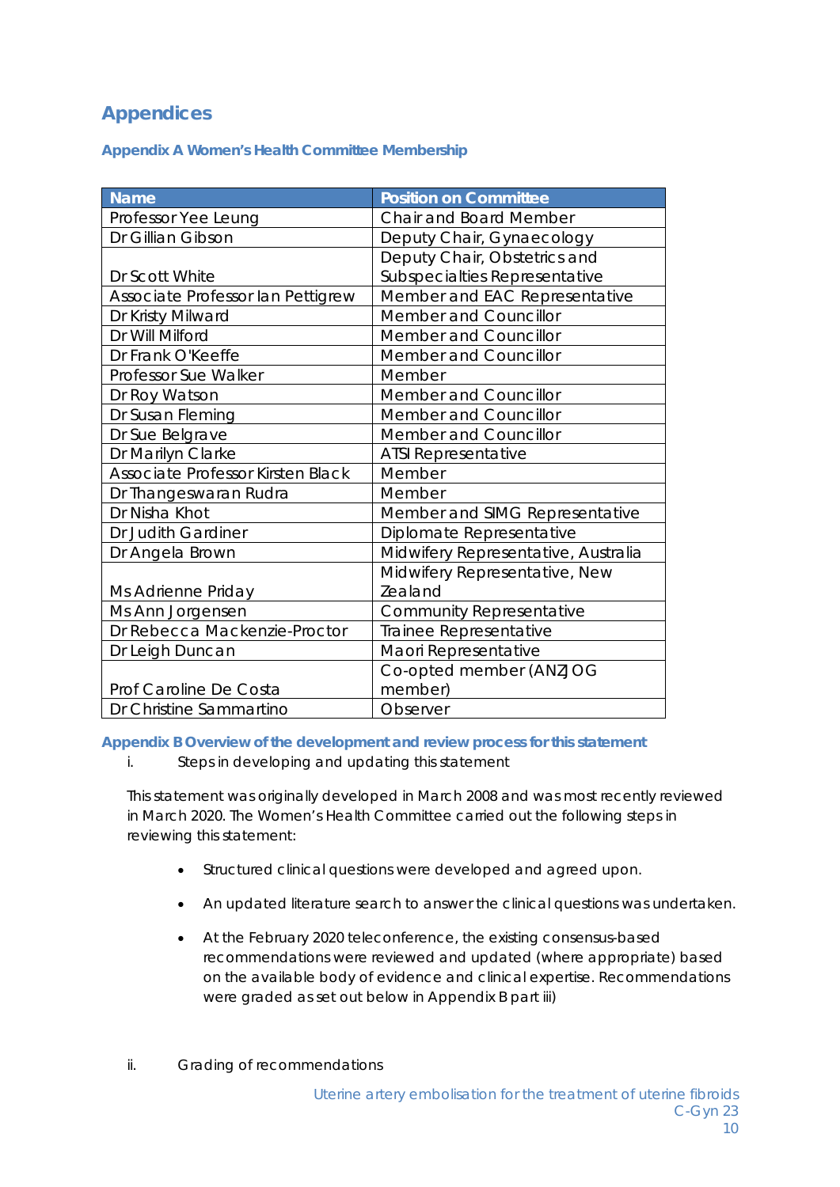# **Appendices**

**Appendix A Women's Health Committee Membership** 

| <b>Name</b>                       | <b>Position on Committee</b>        |
|-----------------------------------|-------------------------------------|
| Professor Yee Leung               | <b>Chair and Board Member</b>       |
| Dr Gillian Gibson                 | Deputy Chair, Gynaecology           |
|                                   | Deputy Chair, Obstetrics and        |
| Dr Scott White                    | Subspecialties Representative       |
| Associate Professor Ian Pettigrew | Member and EAC Representative       |
| Dr Kristy Milward                 | Member and Councillor               |
| Dr Will Milford                   | Member and Councillor               |
| Dr Frank O'Keeffe                 | Member and Councillor               |
| Professor Sue Walker              | Member                              |
| Dr Roy Watson                     | Member and Councillor               |
| Dr Susan Fleming                  | Member and Councillor               |
| Dr Sue Belgrave                   | <b>Member and Councillor</b>        |
| Dr Marilyn Clarke                 | <b>ATSI Representative</b>          |
| Associate Professor Kirsten Black | Member                              |
| Dr Thangeswaran Rudra             | Member                              |
| Dr Nisha Khot                     | Member and SIMG Representative      |
| Dr Judith Gardiner                | Diplomate Representative            |
| Dr Angela Brown                   | Midwifery Representative, Australia |
|                                   | Midwifery Representative, New       |
| Ms Adrienne Priday                | Zealand                             |
| Ms Ann Jorgensen                  | <b>Community Representative</b>     |
| Dr Rebecca Mackenzie-Proctor      | Trainee Representative              |
| Dr Leigh Duncan                   | Maori Representative                |
|                                   | Co-opted member (ANZJOG             |
| Prof Caroline De Costa            | member)                             |
| Dr Christine Sammartino           | Observer                            |

**Appendix B Overview of the development and review process for this statement** 

*i. Steps in developing and updating this statement* 

This statement was originally developed in March 2008 and was most recently reviewed in March 2020. The Women's Health Committee carried out the following steps in reviewing this statement:

- Structured clinical questions were developed and agreed upon.
- An updated literature search to answer the clinical questions was undertaken.
- At the February 2020 teleconference, the existing consensus-based recommendations were reviewed and updated (where appropriate) based on the available body of evidence and clinical expertise. Recommendations were graded as set out below in Appendix B part iii)
- *ii. Grading of recommendations*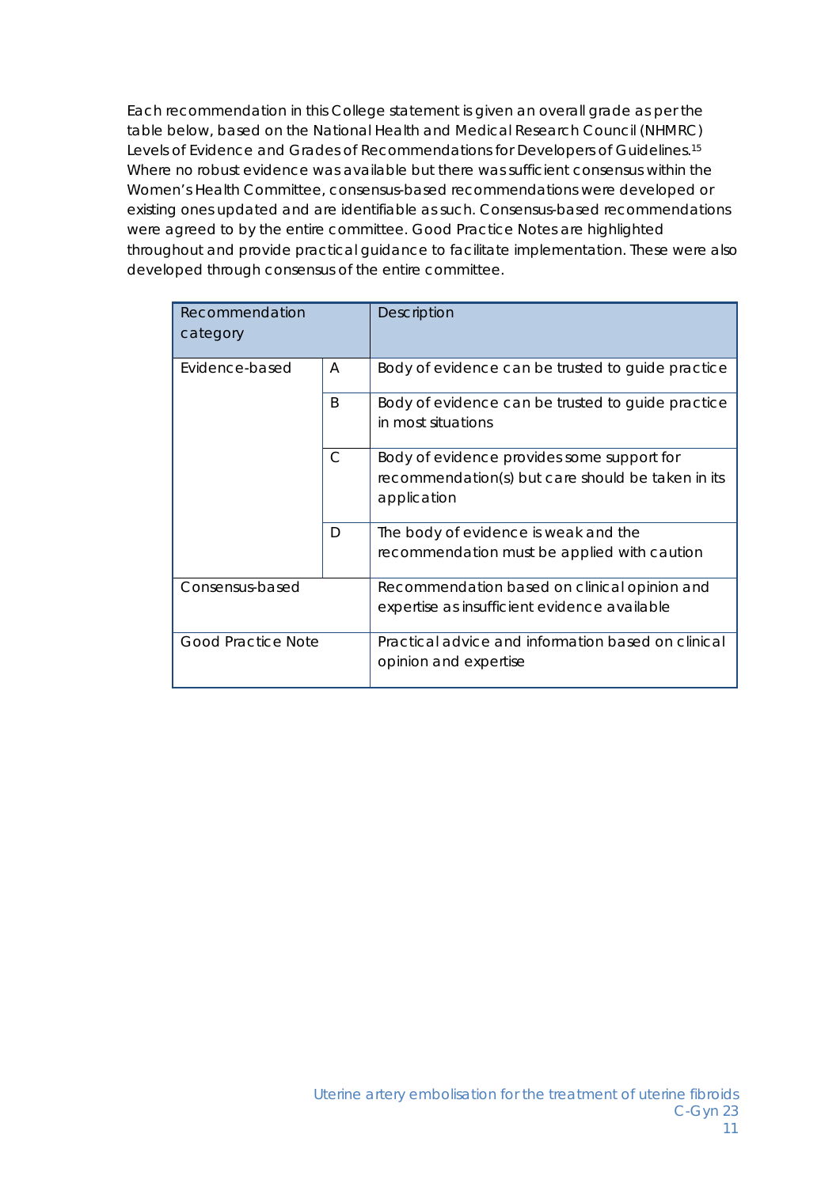Each recommendation in this College statement is given an overall grade as per the table below, based on the National Health and Medical Research Council (NHMRC) Levels of Evidence and Grades of Recommendations for Developers of Guidelines.15 Where no robust evidence was available but there was sufficient consensus within the Women's Health Committee, consensus-based recommendations were developed or existing ones updated and are identifiable as such. Consensus-based recommendations were agreed to by the entire committee. Good Practice Notes are highlighted throughout and provide practical guidance to facilitate implementation. These were also developed through consensus of the entire committee.

| Recommendation<br>category   |   | <b>Description</b>                                                                                             |
|------------------------------|---|----------------------------------------------------------------------------------------------------------------|
| Evidence-based               | A | Body of evidence can be trusted to guide practice                                                              |
| <sub>R</sub><br>$\mathsf{C}$ |   | Body of evidence can be trusted to guide practice<br>in most situations                                        |
|                              |   | Body of evidence provides some support for<br>recommendation(s) but care should be taken in its<br>application |
|                              | D | The body of evidence is weak and the<br>recommendation must be applied with caution                            |
| Consensus-based              |   | Recommendation based on clinical opinion and<br>expertise as insufficient evidence available                   |
| <b>Good Practice Note</b>    |   | Practical advice and information based on clinical<br>opinion and expertise                                    |